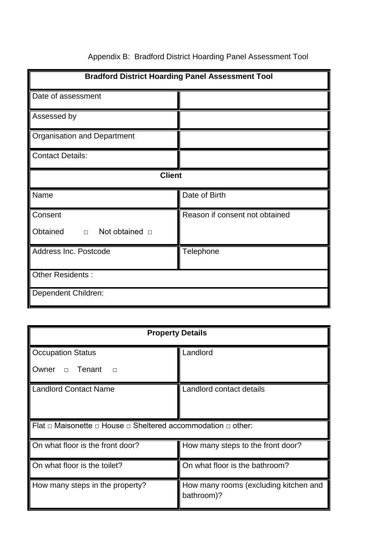| <b>Bradford District Hoarding Panel Assessment Tool</b> |                                |  |  |  |  |
|---------------------------------------------------------|--------------------------------|--|--|--|--|
| Date of assessment                                      |                                |  |  |  |  |
| Assessed by                                             |                                |  |  |  |  |
| <b>Organisation and Department</b>                      |                                |  |  |  |  |
| <b>Contact Details:</b>                                 |                                |  |  |  |  |
| <b>Client</b>                                           |                                |  |  |  |  |
| Name                                                    | Date of Birth                  |  |  |  |  |
| Consent                                                 | Reason if consent not obtained |  |  |  |  |
| Obtained<br>$\Box$ Not obtained $\Box$                  |                                |  |  |  |  |
| Address Inc. Postcode                                   | <b>Telephone</b>               |  |  |  |  |
| Other Residents:                                        |                                |  |  |  |  |
| Dependent Children:                                     |                                |  |  |  |  |

## Appendix B: Bradford District Hoarding Panel Assessment Tool

| <b>Property Details</b>                                                          |                                                     |  |  |  |  |  |
|----------------------------------------------------------------------------------|-----------------------------------------------------|--|--|--|--|--|
| <b>Occupation Status</b>                                                         | Landlord                                            |  |  |  |  |  |
| Tenant<br>Owner<br>$\Box$<br>$\Box$                                              |                                                     |  |  |  |  |  |
| Landlord Contact Name                                                            | Landlord contact details                            |  |  |  |  |  |
| Flat $\Box$ Maisonette $\Box$ House $\Box$ Sheltered accommodation $\Box$ other: |                                                     |  |  |  |  |  |
| On what floor is the front door?                                                 | How many steps to the front door?                   |  |  |  |  |  |
| On what floor is the toilet?                                                     | On what floor is the bathroom?                      |  |  |  |  |  |
| How many steps in the property?                                                  | How many rooms (excluding kitchen and<br>bathroom)? |  |  |  |  |  |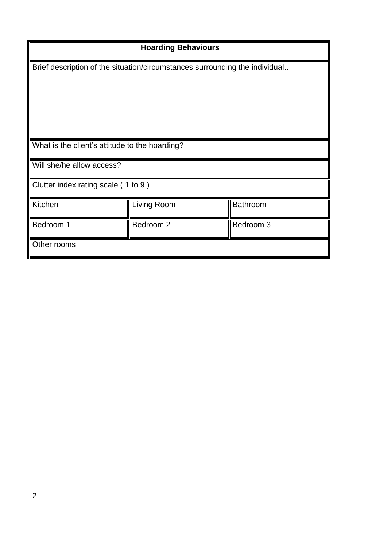| <b>Hoarding Behaviours</b>                                                  |             |                 |  |  |
|-----------------------------------------------------------------------------|-------------|-----------------|--|--|
| Brief description of the situation/circumstances surrounding the individual |             |                 |  |  |
| What is the client's attitude to the hoarding?                              |             |                 |  |  |
| Will she/he allow access?                                                   |             |                 |  |  |
| Clutter index rating scale (1 to 9)                                         |             |                 |  |  |
| Kitchen                                                                     | Living Room | <b>Bathroom</b> |  |  |
| Bedroom 1                                                                   | Bedroom 2   | Bedroom 3       |  |  |
| Other rooms                                                                 |             |                 |  |  |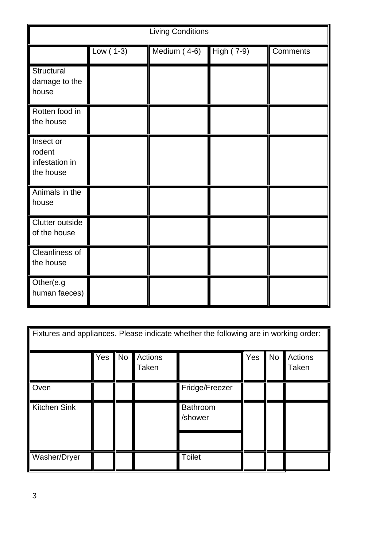| <b>Living Conditions</b>                           |             |              |            |          |  |  |
|----------------------------------------------------|-------------|--------------|------------|----------|--|--|
|                                                    | Low $(1-3)$ | Medium (4-6) | High (7-9) | Comments |  |  |
| Structural<br>damage to the<br>house               |             |              |            |          |  |  |
| Rotten food in<br>the house                        |             |              |            |          |  |  |
| Insect or<br>rodent<br>infestation in<br>the house |             |              |            |          |  |  |
| Animals in the<br>house                            |             |              |            |          |  |  |
| Clutter outside<br>of the house                    |             |              |            |          |  |  |
| Cleanliness of<br>the house                        |             |              |            |          |  |  |
| Other(e.g<br>human faeces)                         |             |              |            |          |  |  |

| Fixtures and appliances. Please indicate whether the following are in working order: |     |           |                  |                     |     |           |                  |
|--------------------------------------------------------------------------------------|-----|-----------|------------------|---------------------|-----|-----------|------------------|
|                                                                                      | Yes | <b>No</b> | Actions<br>Taken |                     | Yes | <b>No</b> | Actions<br>Taken |
| Oven                                                                                 |     |           |                  | Fridge/Freezer      |     |           |                  |
| <b>Kitchen Sink</b>                                                                  |     |           |                  | Bathroom<br>/shower |     |           |                  |
| Washer/Dryer                                                                         |     |           |                  | <b>Toilet</b>       |     |           |                  |